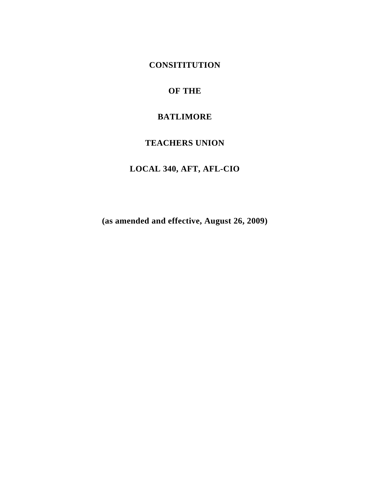**CONSITITUTION** 

## **OF THE**

## **BATLIMORE**

## **TEACHERS UNION**

# **LOCAL 340, AFT, AFL-CIO**

**(as amended and effective, August 26, 2009)**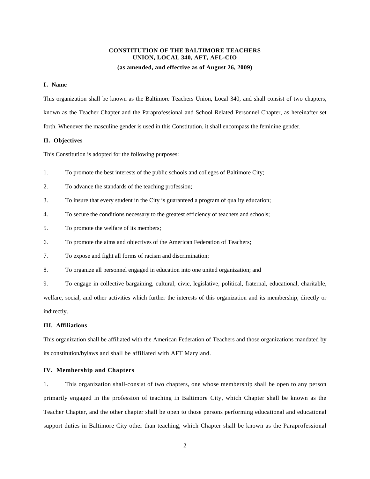#### **CONSTITUTION OF THE BALTIMORE TEACHERS UNION, LOCAL 340, AFT, AFL-CIO**

#### **(as amended, and effective as of August 26, 2009)**

#### **I. Name**

This organization shall be known as the Baltimore Teachers Union, Local 340, and shall consist of two chapters, known as the Teacher Chapter and the Paraprofessional and School Related Personnel Chapter, as hereinafter set forth. Whenever the masculine gender is used in this Constitution, it shall encompass the feminine gender.

#### **II. Objectives**

This Constitution is adopted for the following purposes:

- 1. To promote the best interests of the public schools and colleges of Baltimore City;
- 2. To advance the standards of the teaching profession;
- 3. To insure that every student in the City is guaranteed a program of quality education;
- 4. To secure the conditions necessary to the greatest efficiency of teachers and schools;
- 5. To promote the welfare of its members;
- 6. To promote the aims and objectives of the American Federation of Teachers;
- 7. To expose and fight all forms of racism and discrimination;
- 8. To organize all personnel engaged in education into one united organization; and

9. To engage in collective bargaining, cultural, civic, legislative, political, fraternal, educational, charitable, welfare, social, and other activities which further the interests of this organization and its membership, directly or indirectly.

#### **III. Affiliations**

This organization shall be affiliated with the American Federation of Teachers and those organizations mandated by its constitution/bylaws and shall be affiliated with AFT Maryland.

#### **IV. Membership and Chapters**

1. This organization shall-consist of two chapters, one whose membership shall be open to any person primarily engaged in the profession of teaching in Baltimore City, which Chapter shall be known as the Teacher Chapter, and the other chapter shall be open to those persons performing educational and educational support duties in Baltimore City other than teaching, which Chapter shall be known as the Paraprofessional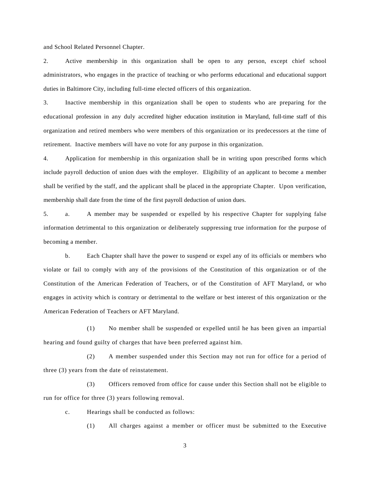and School Related Personnel Chapter.

2. Active membership in this organization shall be open to any person, except chief school administrators, who engages in the practice of teaching or who performs educational and educational support duties in Baltimore City, including full-time elected officers of this organization.

3. Inactive membership in this organization shall be open to students who are preparing for the educational profession in any duly accredited higher education institution in Maryland, full-time staff of this organization and retired members who were members of this organization or its predecessors at the time of retirement. Inactive members will have no vote for any purpose in this organization.

4. Application for membership in this organization shall be in writing upon prescribed forms which include payroll deduction of union dues with the employer. Eligibility of an applicant to become a member shall be verified by the staff, and the applicant shall be placed in the appropriate Chapter. Upon verification, membership shall date from the time of the first payroll deduction of union dues.

5. a. A member may be suspended or expelled by his respective Chapter for supplying false information detrimental to this organization or deliberately suppressing true information for the purpose of becoming a member.

 b. Each Chapter shall have the power to suspend or expel any of its officials or members who violate or fail to comply with any of the provisions of the Constitution of this organization or of the Constitution of the American Federation of Teachers, or of the Constitution of AFT Maryland, or who engages in activity which is contrary or detrimental to the welfare or best interest of this organization or the American Federation of Teachers or AFT Maryland.

(1) No member shall be suspended or expelled until he has been given an impartial hearing and found guilty of charges that have been preferred against him.

(2) A member suspended under this Section may not run for office for a period of three (3) years from the date of reinstatement.

(3) Officers removed from office for cause under this Section shall not be eligible to run for office for three (3) years following removal.

c. Hearings shall be conducted as follows:

(1) All charges against a member or officer must be submitted to the Executive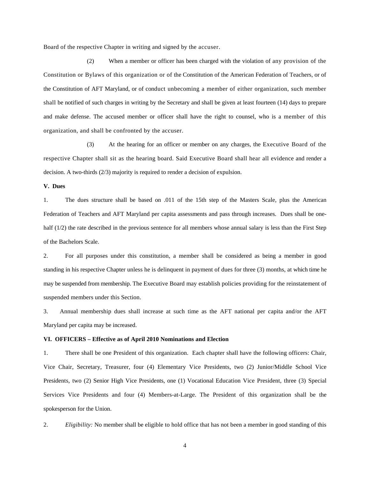Board of the respective Chapter in writing and signed by the accuser.

(2) When a member or officer has been charged with the violation of any provision of the Constitution or Bylaws of this organization or of the Constitution of the American Federation of Teachers, or of the Constitution of AFT Maryland, or of conduct unbecoming a member of either organization, such member shall be notified of such charges in writing by the Secretary and shall be given at least fourteen (14) days to prepare and make defense. The accused member or officer shall have the right to counsel, who is a member of this organization, and shall be confronted by the accuser.

(3) At the hearing for an officer or member on any charges, the Executive Board of the respective Chapter shall sit as the hearing board. Said Executive Board shall hear all evidence and render a decision. A two-thirds (2/3) majority is required to render a decision of expulsion.

### **V. Dues**

1. The dues structure shall be based on .011 of the 15th step of the Masters Scale, plus the American Federation of Teachers and AFT Maryland per capita assessments and pass through increases. Dues shall be onehalf (1/2) the rate described in the previous sentence for all members whose annual salary is less than the First Step of the Bachelors Scale.

2. For all purposes under this constitution, a member shall be considered as being a member in good standing in his respective Chapter unless he is delinquent in payment of dues for three (3) months, at which time he may be suspended from membership. The Executive Board may establish policies providing for the reinstatement of suspended members under this Section.

3. Annual membership dues shall increase at such time as the AFT national per capita and/or the AFT Maryland per capita may be increased.

#### **VI. OFFICERS – Effective as of April 2010 Nominations and Election**

1. There shall be one President of this organization. Each chapter shall have the following officers: Chair, Vice Chair, Secretary, Treasurer, four (4) Elementary Vice Presidents, two (2) Junior/Middle School Vice Presidents, two (2) Senior High Vice Presidents, one (1) Vocational Education Vice President, three (3) Special Services Vice Presidents and four (4) Members-at-Large. The President of this organization shall be the spokesperson for the Union.

2. *Eligibility:* No member shall be eligible to hold office that has not been a member in good standing of this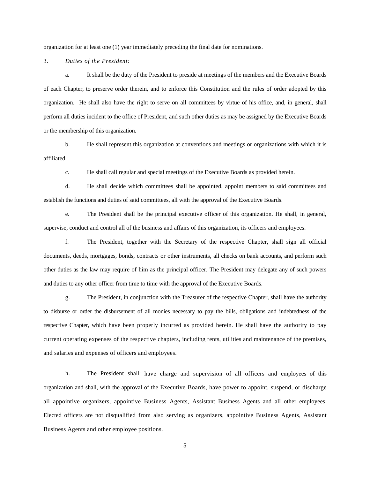organization for at least one (1) year immediately preceding the final date for nominations.

3. *Duties of the President:* 

a. It shall be the duty of the President to preside at meetings of the members and the Executive Boards of each Chapter, to preserve order therein, and to enforce this Constitution and the rules of order adopted by this organization. He shall also have the right to serve on all committees by virtue of his office, and, in general, shall perform all duties incident to the office of President, and such other duties as may be assigned by the Executive Boards or the membership of this organization.

b. He shall represent this organization at conventions and meetings or organizations with which it is affiliated.

c. He shall call regular and special meetings of the Executive Boards as provided herein.

d. He shall decide which committees shall be appointed, appoint members to said committees and establish the functions and duties of said committees, all with the approval of the Executive Boards.

e. The President shall be the principal executive officer of this organization. He shall, in general, supervise, conduct and control all of the business and affairs of this organization, its officers and employees.

f. The President, together with the Secretary of the respective Chapter, shall sign all official documents, deeds, mortgages, bonds, contracts or other instruments, all checks on bank accounts, and perform such other duties as the law may require of him as the principal officer. The President may delegate any of such powers and duties to any other officer from time to time with the approval of the Executive Boards.

g. The President, in conjunction with the Treasurer of the respective Chapter, shall have the authority to disburse or order the disbursement of all monies necessary to pay the bills, obligations and indebtedness of the respective Chapter, which have been properly incurred as provided herein. He shall have the authority to pay current operating expenses of the respective chapters, including rents, utilities and maintenance of the premises, and salaries and expenses of officers and employees.

h. The President shall have charge and supervision of all officers and employees of this organization and shall, with the approval of the Executive Boards, have power to appoint, suspend, or discharge all appointive organizers, appointive Business Agents, Assistant Business Agents and all other employees. Elected officers are not disqualified from also serving as organizers, appointive Business Agents, Assistant Business Agents and other employee positions.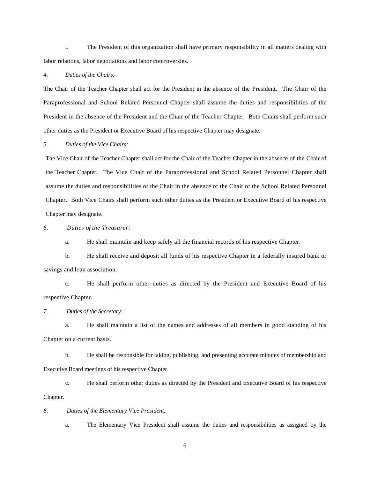i. The President of this organization shall have primary responsibility in all matters dealing with labor relations, labor negotiations and labor controversies.

#### *4. Duties of the Chairs:*

The Chair of the Teacher Chapter shall act for the President in the absence of the President. The Chair of the Paraprofessional and School Related Personnel Chapter shall assume the duties and responsibilities of the President in the absence of the President and the Chair of the Teacher Chapter. Both Chairs shall perform such other duties as the President or Executive Board of his respective Chapter may designate.

#### *5. Duties of the Vice Chairs:*

The Vice Chair of the Teacher Chapter shall act for the Chair of the Teacher Chapter in the absence of the Chair of the Teacher Chapter. The Vice Chair of the Paraprofessional and School Related Personnel Chapter shall assume the duties and responsibilities of the Chair in the absence of the Chair of the School Related Personnel Chapter. Both Vice Chairs shall perform such other duties as the President or Executive Board of his respective Chapter may designate.

#### *6. Duties of the Treasurer:*

a. He shall maintain and keep safely all the financial records of his respective Chapter.

b. He shall receive and deposit all funds of his respective Chapter in a federally insured bank or savings and loan association.

c. He shall perform other duties as directed by the President and Executive Board of his respective Chapter.

#### *7. Duties of the Secretary:*

a. He shall maintain a list of the names and addresses of all members in good standing of his Chapter on a current basis.

b. He shall be responsible for taking, publishing, and presenting accurate minutes of membership and Executive Board meetings of his respective Chapter.

c. He shall perform other duties as directed by the President and Executive Board of his respective Chapter.

#### *8. Duties of the Elementary Vice President:*

a. The Elementary Vice President shall assume the duties and responsibilities as assigned by the

6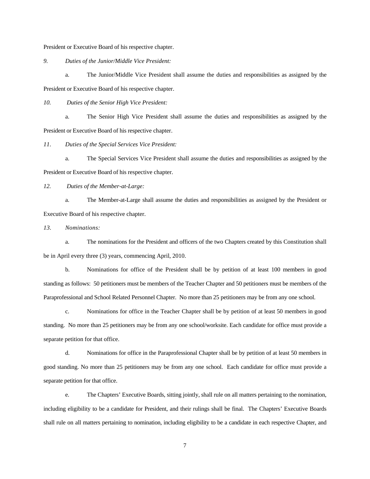President or Executive Board of his respective chapter.

*9. Duties of the Junior/Middle Vice President:* 

a. The Junior/Middle Vice President shall assume the duties and responsibilities as assigned by the President or Executive Board of his respective chapter.

*10. Duties of the Senior High Vice President:* 

a. The Senior High Vice President shall assume the duties and responsibilities as assigned by the President or Executive Board of his respective chapter.

*11. Duties of the Special Services Vice President:* 

a. The Special Services Vice President shall assume the duties and responsibilities as assigned by the President or Executive Board of his respective chapter.

*12. Duties of the Member-at-Large:* 

a. The Member-at-Large shall assume the duties and responsibilities as assigned by the President or Executive Board of his respective chapter.

*13. Nominations:* 

a. The nominations for the President and officers of the two Chapters created by this Constitution shall be in April every three (3) years, commencing April, 2010.

b. Nominations for office of the President shall be by petition of at least 100 members in good standing as follows: 50 petitioners must be members of the Teacher Chapter and 50 petitioners must be members of the Paraprofessional and School Related Personnel Chapter. No more than 25 petitioners may be from any one school.

c. Nominations for office in the Teacher Chapter shall be by petition of at least 50 members in good standing. No more than 25 petitioners may be from any one school/worksite. Each candidate for office must provide a separate petition for that office.

d. Nominations for office in the Paraprofessional Chapter shall be by petition of at least 50 members in good standing. No more than 25 petitioners may be from any one school. Each candidate for office must provide a separate petition for that office.

 e. The Chapters' Executive Boards, sitting jointly, shall rule on all matters pertaining to the nomination, including eligibility to be a candidate for President, and their rulings shall be final. The Chapters' Executive Boards shall rule on all matters pertaining to nomination, including eligibility to be a candidate in each respective Chapter, and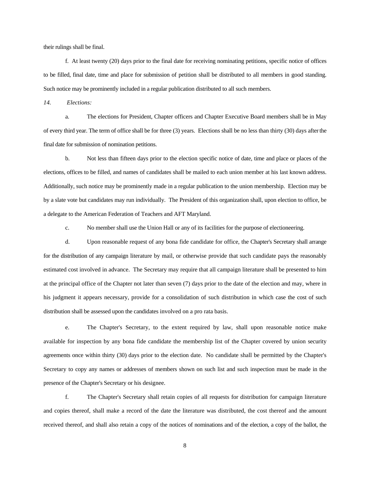their rulings shall be final.

 f. At least twenty (20) days prior to the final date for receiving nominating petitions, specific notice of offices to be filled, final date, time and place for submission of petition shall be distributed to all members in good standing. Such notice may be prominently included in a regular publication distributed to all such members.

*14. Elections:* 

a. The elections for President, Chapter officers and Chapter Executive Board members shall be in May of every third year. The term of office shall be for three (3) years. Elections shall be no less than thirty (30) days afterthe final date for submission of nomination petitions.

b. Not less than fifteen days prior to the election specific notice of date, time and place or places of the elections, offices to be filled, and names of candidates shall be mailed to each union member at his last known address. Additionally, such notice may be prominently made in a regular publication to the union membership. Election may be by a slate vote but candidates may run individually. The President of this organization shall, upon election to office, be a delegate to the American Federation of Teachers and AFT Maryland.

c. No member shall use the Union Hall or any of its facilities for the purpose of electioneering.

d. Upon reasonable request of any bona fide candidate for office, the Chapter's Secretary shall arrange for the distribution of any campaign literature by mail, or otherwise provide that such candidate pays the reasonably estimated cost involved in advance. The Secretary may require that all campaign literature shall be presented to him at the principal office of the Chapter not later than seven (7) days prior to the date of the election and may, where in his judgment it appears necessary, provide for a consolidation of such distribution in which case the cost of such distribution shall be assessed upon the candidates involved on a pro rata basis.

e. The Chapter's Secretary, to the extent required by law, shall upon reasonable notice make available for inspection by any bona fide candidate the membership list of the Chapter covered by union security agreements once within thirty (30) days prior to the election date. No candidate shall be permitted by the Chapter's Secretary to copy any names or addresses of members shown on such list and such inspection must be made in the presence of the Chapter's Secretary or his designee.

f. The Chapter's Secretary shall retain copies of all requests for distribution for campaign literature and copies thereof, shall make a record of the date the literature was distributed, the cost thereof and the amount received thereof, and shall also retain a copy of the notices of nominations and of the election, a copy of the ballot, the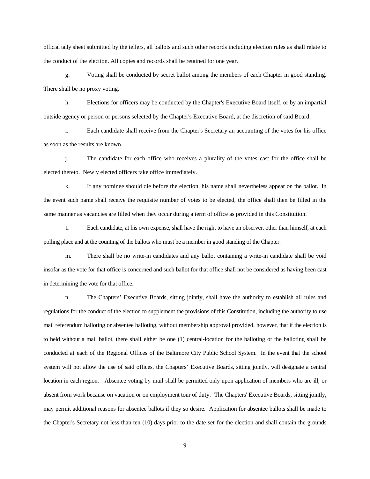official tally sheet submitted by the tellers, all ballots and such other records including election rules as shall relate to the conduct of the election. All copies and records shall be retained for one year.

g. Voting shall be conducted by secret ballot among the members of each Chapter in good standing. There shall be no proxy voting.

h. Elections for officers may be conducted by the Chapter's Executive Board itself, or by an impartial outside agency or person or persons selected by the Chapter's Executive Board, at the discretion of said Board.

i. Each candidate shall receive from the Chapter's Secretary an accounting of the votes for his office as soon as the results are known.

j. The candidate for each office who receives a plurality of the votes cast for the office shall be elected thereto. Newly elected officers take office immediately.

k. If any nominee should die before the election, his name shall nevertheless appear on the ballot. In the event such name shall receive the requisite number of votes to be elected, the office shall then be filled in the same manner as vacancies are filled when they occur during a term of office as provided in this Constitution.

1. Each candidate, at his own expense, shall have the right to have an observer, other than himself, at each polling place and at the counting of the ballots who must be a member in good standing of the Chapter.

m. There shall be no write-in candidates and any ballot containing a write-in candidate shall be void insofar as the vote for that office is concerned and such ballot for that office shall not be considered as having been cast in determining the vote for that office.

n. The Chapters' Executive Boards, sitting jointly, shall have the authority to establish all rules and regulations for the conduct of the election to supplement the provisions of this Constitution, including the authority to use mail referendum balloting or absentee balloting, without membership approval provided, however, that if the election is to held without a mail ballot, there shall either be one (1) central-location for the balloting or the balloting shall be conducted at each of the Regional Offices of the Baltimore City Public School System. In the event that the school system will not allow the use of said offices, the Chapters' Executive Boards, sitting jointly, will designate a central location in each region. Absentee voting by mail shall be permitted only upon application of members who are ill, or absent from work because on vacation or on employment tour of duty. The Chapters' Executive Boards, sitting jointly, may permit additional reasons for absentee ballots if they so desire. Application for absentee ballots shall be made to the Chapter's Secretary not less than ten (10) days prior to the date set for the election and shall contain the grounds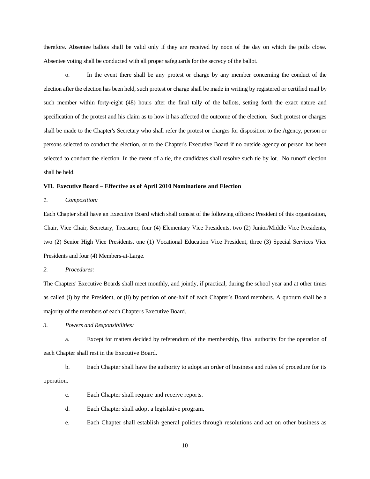therefore. Absentee ballots shall be valid only if they are received by noon of the day on which the polls close. Absentee voting shall be conducted with all proper safeguards for the secrecy of the ballot.

o. In the event there shall be any protest or charge by any member concerning the conduct of the election after the election has been held, such protest or charge shall be made in writing by registered or certified mail by such member within forty-eight (48) hours after the final tally of the ballots, setting forth the exact nature and specification of the protest and his claim as to how it has affected the outcome of the election. Such protest or charges shall be made to the Chapter's Secretary who shall refer the protest or charges for disposition to the Agency, person or persons selected to conduct the election, or to the Chapter's Executive Board if no outside agency or person has been selected to conduct the election. In the event of a tie, the candidates shall resolve such tie by lot. No runoff election shall be held.

#### **VII. Executive Board – Effective as of April 2010 Nominations and Election**

#### *1. Composition:*

Each Chapter shall have an Executive Board which shall consist of the following officers: President of this organization, Chair, Vice Chair, Secretary, Treasurer, four (4) Elementary Vice Presidents, two (2) Junior/Middle Vice Presidents, two (2) Senior High Vice Presidents, one (1) Vocational Education Vice President, three (3) Special Services Vice Presidents and four (4) Members-at-Large.

*2. Procedures:* 

The Chapters' Executive Boards shall meet monthly, and jointly, if practical, during the school year and at other times as called (i) by the President, or (ii) by petition of one-half of each Chapter's Board members. A quorum shall be a majority of the members of each Chapter's Executive Board.

*3. Powers and Responsibilities:* 

a. Except for matters decided by refer**e**ndum of the membership, final authority for the operation of each Chapter shall rest in the Executive Board.

b. Each Chapter shall have the authority to adopt an order of business and rules of procedure for its operation.

- c. Each Chapter shall require and receive reports.
- d. Each Chapter shall adopt a legislative program.
- e. Each Chapter shall establish general policies through resolutions and act on other business as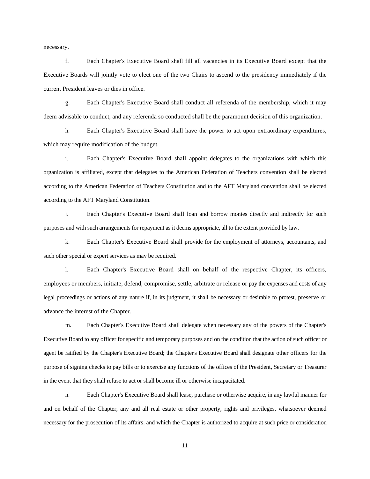necessary.

f. Each Chapter's Executive Board shall fill all vacancies in its Executive Board except that the Executive Boards will jointly vote to elect one of the two Chairs to ascend to the presidency immediately if the current President leaves or dies in office.

g. Each Chapter's Executive Board shall conduct all referenda of the membership, which it may deem advisable to conduct, and any referenda so conducted shall be the paramount decision of this organization.

h. Each Chapter's Executive Board shall have the power to act upon extraordinary expenditures, which may require modification of the budget.

i. Each Chapter's Executive Board shall appoint delegates to the organizations with which this organization is affiliated, except that delegates to the American Federation of Teachers convention shall be elected according to the American Federation of Teachers Constitution and to the AFT Maryland convention shall be elected according to the AFT Maryland Constitution.

j. Each Chapter's Executive Board shall loan and borrow monies directly and indirectly for such purposes and with such arrangements for repayment as it deems appropriate, all to the extent provided by law.

k. Each Chapter's Executive Board shall provide for the employment of attorneys, accountants, and such other special or expert services as may be required.

l. Each Chapter's Executive Board shall on behalf of the respective Chapter, its officers, employees or members, initiate, defend, compromise, settle, arbitrate or release or pay the expenses and costs of any legal proceedings or actions of any nature if, in its judgment, it shall be necessary or desirable to protest, preserve or advance the interest of the Chapter.

m. Each Chapter's Executive Board shall delegate when necessary any of the powers of the Chapter's Executive Board to any officer for specific and temporary purposes and on the condition that the action of such officer or agent be ratified by the Chapter's Executive Board; the Chapter's Executive Board shall designate other officers for the purpose of signing checks to pay bills or to exercise any functions of the offices of the President, Secretary or Treasurer in the event that they shall refuse to act or shall become ill or otherwise incapacitated.

n. Each Chapter's Executive Board shall lease, purchase or otherwise acquire, in any lawful manner for and on behalf of the Chapter, any and all real estate or other property, rights and privileges, whatsoever deemed necessary for the prosecution of its affairs, and which the Chapter is authorized to acquire at such price or consideration

11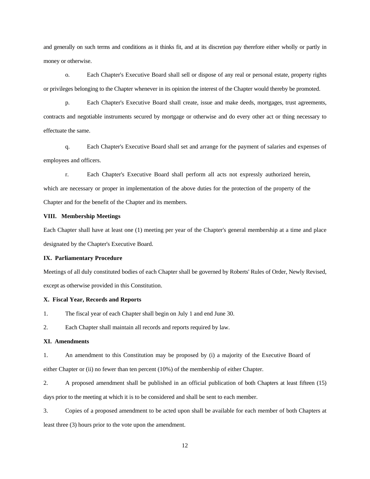and generally on such terms and conditions as it thinks fit, and at its discretion pay therefore either wholly or partly in money or otherwise.

o. Each Chapter's Executive Board shall sell or dispose of any real or personal estate, property rights or privileges belonging to the Chapter whenever in its opinion the interest of the Chapter would thereby be promoted.

p. Each Chapter's Executive Board shall create, issue and make deeds, mortgages, trust agreements, contracts and negotiable instruments secured by mortgage or otherwise and do every other act or thing necessary to effectuate the same.

q. Each Chapter's Executive Board shall set and arrange for the payment of salaries and expenses of employees and officers.

r. Each Chapter's Executive Board shall perform all acts not expressly authorized herein, which are necessary or proper in implementation of the above duties for the protection of the property of the Chapter and for the benefit of the Chapter and its members.

### **VIII. Membership Meetings**

Each Chapter shall have at least one (1) meeting per year of the Chapter's general membership at a time and place designated by the Chapter's Executive Board.

#### **IX. Parliamentary Procedure**

Meetings of all duly constituted bodies of each Chapter shall be governed by Roberts' Rules of Order, Newly Revised, except as otherwise provided in this Constitution.

#### **X. Fiscal Year, Records and Reports**

1. The fiscal year of each Chapter shall begin on July 1 and end June 30.

2. Each Chapter shall maintain all records and reports required by law.

#### **XI. Amendments**

1. An amendment to this Constitution may be proposed by (i) a majority of the Executive Board of

either Chapter or (ii) no fewer than ten percent (10%) of the membership of either Chapter.

2. A proposed amendment shall be published in an official publication of both Chapters at least fifteen (15) days prior to the meeting at which it is to be considered and shall be sent to each member.

3. Copies of a proposed amendment to be acted upon shall be available for each member of both Chapters at least three (3) hours prior to the vote upon the amendment.